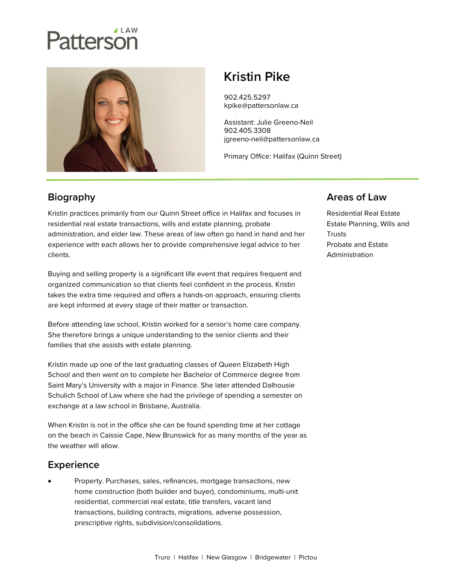# atterson



# Kristin Pike

902.425.5297 kpike@pattersonlaw.ca

Assistant: Julie Greeno-Neil 902.405.3308 jgreeno-neil@pattersonlaw.ca

Primary Office: Halifax (Quinn Street)

## **Biography**

Kristin practices primarily from our Quinn Street office in Halifax and focuses in residential real estate transactions, wills and estate planning, probate administration, and elder law. These areas of law often go hand in hand and her experience with each allows her to provide comprehensive legal advice to her clients.

Buying and selling property is a significant life event that requires frequent and organized communication so that clients feel confident in the process. Kristin takes the extra time required and offers a hands-on approach, ensuring clients are kept informed at every stage of their matter or transaction.

Before attending law school, Kristin worked for a senior's home care company. She therefore brings a unique understanding to the senior clients and their families that she assists with estate planning.

Kristin made up one of the last graduating classes of Queen Elizabeth High School and then went on to complete her Bachelor of Commerce degree from Saint Mary's University with a major in Finance. She later attended Dalhousie Schulich School of Law where she had the privilege of spending a semester on exchange at a law school in Brisbane, Australia.

When Kristin is not in the office she can be found spending time at her cottage on the beach in Caissie Cape, New Brunswick for as many months of the year as the weather will allow.

### **Experience**

 Property. Purchases, sales, refinances, mortgage transactions, new home construction (both builder and buyer), condominiums, multi-unit residential, commercial real estate, title transfers, vacant land transactions, building contracts, migrations, adverse possession, prescriptive rights, subdivision/consolidations.

#### Areas of Law

Residential Real Estate Estate Planning, Wills and **Trusts** Probate and Estate Administration